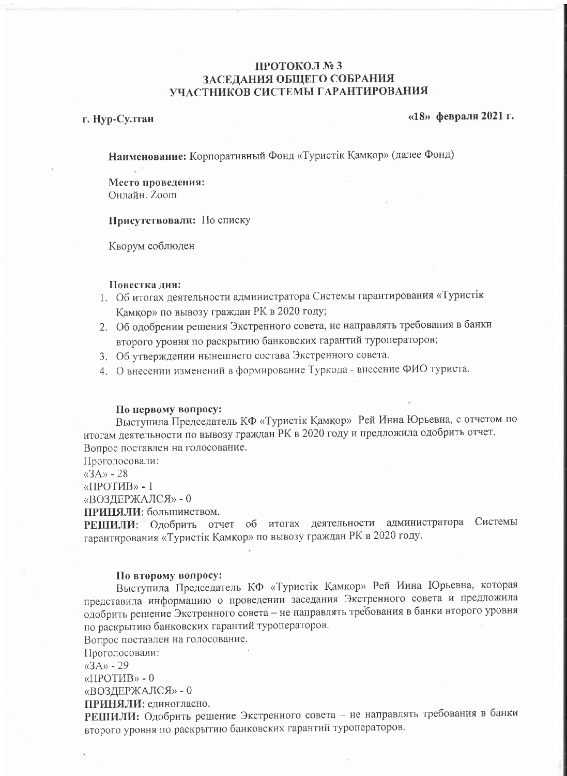# ПРОТОКОЛ №3 ЗАСЕДАНИЯ ОБЩЕГО СОБРАНИЯ УЧАСТНИКОВ СИСТЕМЫ ГАРАНТИРОВАНИЯ

## г. Нур-Султан

#### $\langle$  418» февраля 2021 г.

Наименование: Корпоративный Фонд «Туристік Қамқор» (далее Фонд)

Место проведения: Онлайн. Zoom

Присутствовали: По списку

Кворум соблюден

### Повестка дня:

- 1. Об итогах деятельности администратора Системы гарантирования «Туристік Қамқор» по вывозу граждан РК в 2020 году;
- 2. Об одобрении решения Экстренного совета, не направлять требования в банки второго уровня по раскрытию банковских гарантий туроператоров;
- 3. Об утверждении нынешнего состава Экстренного совета.
- 4. О внесении изменений в формирование Туркода внесение ФИО туриста.

#### По первому вопросу:

Выступила Председатель КФ «Туристік Қамқор» Рей Инна Юрьевна, с отчетом по итогам деятельности по вывозу граждан РК в 2020 году и предложила одобрить отчет. Вопрос поставлен на голосование.

Проголосовали:

 $\langle (3A) \rangle$  - 28

«ПРОТИВ» - 1

«ВОЗДЕРЖАЛСЯ» - 0

ПРИНЯЛИ: большинством.

РЕШИЛИ: Одобрить отчет об итогах деятельности администратора Системы гарантирования «Туристік Қамқор» по вывозу граждан РК в 2020 году.

### По второму вопросу:

Выступила Председатель КФ «Туристік Қамқор» Рей Инна Юрьевна, которая представила информацию о проведении заседания Экстренного совета и предложила одобрить решение Экстренного совета - не направлять требования в банки второго уровня по раскрытию банковских гарантий туроператоров.

Вопрос поставлен на голосование.

Проголосовали:

 $\langle \langle 3A \rangle \rangle$  - 29

«ПРОТИВ» - 0

«ВОЗДЕРЖАЛСЯ» - 0

ПРИНЯЛИ: единогласно.

РЕШИЛИ: Одобрить решение Экстренного совета - не направлять требования в банки второго уровня по раскрытию банковских гарантий туроператоров.